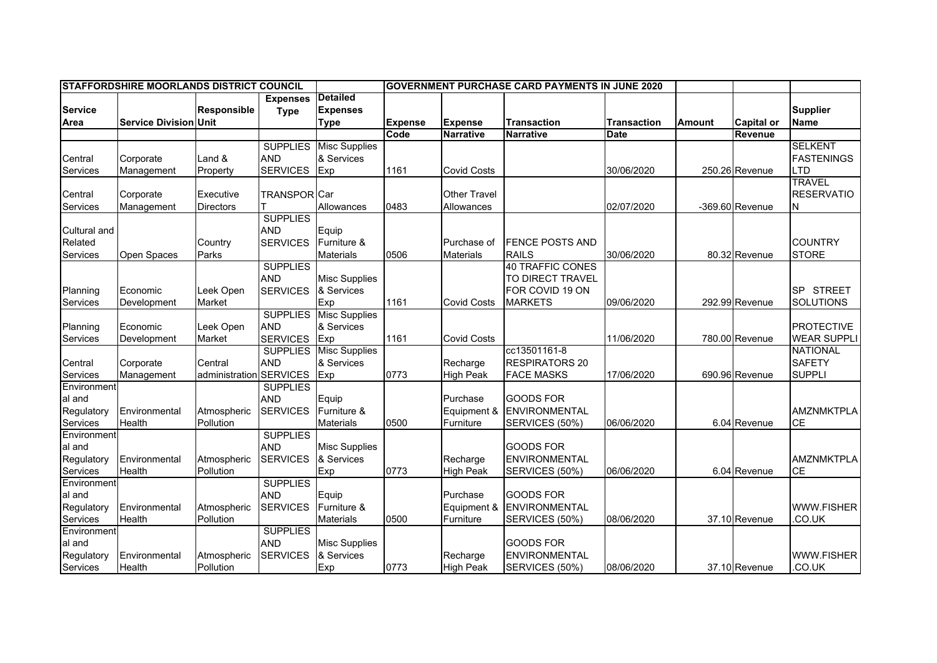| <b>STAFFORDSHIRE MOORLANDS DISTRICT COUNCIL</b> |                              |                    |                     |                      | <b>GOVERNMENT PURCHASE CARD PAYMENTS IN JUNE 2020</b> |                     |                        |                    |               |                   |                    |
|-------------------------------------------------|------------------------------|--------------------|---------------------|----------------------|-------------------------------------------------------|---------------------|------------------------|--------------------|---------------|-------------------|--------------------|
|                                                 |                              |                    | <b>Expenses</b>     | <b>Detailed</b>      |                                                       |                     |                        |                    |               |                   |                    |
| <b>Service</b>                                  |                              | <b>Responsible</b> | <b>Type</b>         | <b>Expenses</b>      |                                                       |                     |                        |                    |               |                   | <b>Supplier</b>    |
| Area                                            | <b>Service Division Unit</b> |                    |                     | <b>Type</b>          | <b>Expense</b>                                        | <b>Expense</b>      | <b>Transaction</b>     | <b>Transaction</b> | <b>Amount</b> | <b>Capital or</b> | <b>Name</b>        |
|                                                 |                              |                    |                     |                      | Code                                                  | <b>Narrative</b>    | <b>Narrative</b>       | <b>Date</b>        |               | <b>Revenue</b>    |                    |
|                                                 |                              |                    | <b>SUPPLIES</b>     | <b>Misc Supplies</b> |                                                       |                     |                        |                    |               |                   | <b>SELKENT</b>     |
| Central                                         | Corporate                    | Land &             | <b>AND</b>          | & Services           |                                                       |                     |                        |                    |               |                   | <b>FASTENINGS</b>  |
| Services                                        | Management                   | Property           | <b>SERVICES</b>     | Exp                  | 1161                                                  | <b>Covid Costs</b>  |                        | 30/06/2020         |               | 250.26 Revenue    | LTD                |
|                                                 |                              |                    |                     |                      |                                                       |                     |                        |                    |               |                   | <b>TRAVEL</b>      |
| Central                                         | Corporate                    | Executive          | <b>TRANSPOR</b> Car |                      |                                                       | <b>Other Travel</b> |                        |                    |               |                   | <b>RESERVATIO</b>  |
| Services                                        | Management                   | <b>Directors</b>   |                     | Allowances           | 0483                                                  | Allowances          |                        | 02/07/2020         |               | -369.60 Revenue   | N                  |
|                                                 |                              |                    | <b>SUPPLIES</b>     |                      |                                                       |                     |                        |                    |               |                   |                    |
| Cultural and                                    |                              |                    | <b>AND</b>          | Equip                |                                                       |                     |                        |                    |               |                   |                    |
| Related                                         |                              | Country            | <b>SERVICES</b>     | Furniture &          |                                                       | Purchase of         | <b>FENCE POSTS AND</b> |                    |               |                   | <b>COUNTRY</b>     |
| Services                                        | Open Spaces                  | Parks              |                     | <b>Materials</b>     | 0506                                                  | <b>Materials</b>    | <b>RAILS</b>           | 30/06/2020         |               | 80.32 Revenue     | <b>STORE</b>       |
|                                                 |                              |                    | <b>SUPPLIES</b>     |                      |                                                       |                     | 40 TRAFFIC CONES       |                    |               |                   |                    |
|                                                 |                              |                    | <b>AND</b>          | <b>Misc Supplies</b> |                                                       |                     | TO DIRECT TRAVEL       |                    |               |                   |                    |
| Planning                                        | Economic                     | Leek Open          | <b>SERVICES</b>     | & Services           |                                                       |                     | FOR COVID 19 ON        |                    |               |                   | SP STREET          |
| Services                                        | Development                  | Market             |                     | Exp                  | 1161                                                  | <b>Covid Costs</b>  | <b>MARKETS</b>         | 09/06/2020         |               | 292.99 Revenue    | <b>SOLUTIONS</b>   |
|                                                 |                              |                    | <b>SUPPLIES</b>     | <b>Misc Supplies</b> |                                                       |                     |                        |                    |               |                   |                    |
| Planning                                        | Economic                     | Leek Open          | <b>AND</b>          | & Services           |                                                       |                     |                        |                    |               |                   | <b>PROTECTIVE</b>  |
| Services                                        | Development                  | Market             | <b>SERVICES</b>     | Exp                  | 1161                                                  | <b>Covid Costs</b>  |                        | 11/06/2020         |               | 780.00 Revenue    | <b>WEAR SUPPLI</b> |
|                                                 |                              |                    | <b>SUPPLIES</b>     | <b>Misc Supplies</b> |                                                       |                     | cc13501161-8           |                    |               |                   | <b>NATIONAL</b>    |
| Central                                         | Corporate                    | Central            | <b>AND</b>          | & Services           |                                                       | Recharge            | <b>RESPIRATORS 20</b>  |                    |               |                   | <b>SAFETY</b>      |
| Services                                        | Management                   | administration     | <b>SERVICES</b>     | Exp                  | 0773                                                  | <b>High Peak</b>    | <b>FACE MASKS</b>      | 17/06/2020         |               | 690.96 Revenue    | <b>SUPPLI</b>      |
| Environment                                     |                              |                    | <b>SUPPLIES</b>     |                      |                                                       |                     |                        |                    |               |                   |                    |
| al and                                          |                              |                    | <b>AND</b>          | Equip                |                                                       | Purchase            | <b>GOODS FOR</b>       |                    |               |                   |                    |
| Regulatory                                      | Environmental                | Atmospheric        | <b>SERVICES</b>     | Furniture &          |                                                       | Equipment &         | <b>ENVIRONMENTAL</b>   |                    |               |                   | <b>AMZNMKTPLA</b>  |
| Services                                        | Health                       | Pollution          |                     | <b>Materials</b>     | 0500                                                  | Furniture           | SERVICES (50%)         | 06/06/2020         |               | 6.04 Revenue      | <b>CE</b>          |
| Environment                                     |                              |                    | <b>SUPPLIES</b>     |                      |                                                       |                     |                        |                    |               |                   |                    |
| al and                                          |                              |                    | <b>AND</b>          | <b>Misc Supplies</b> |                                                       |                     | <b>GOODS FOR</b>       |                    |               |                   |                    |
| Regulatory                                      | Environmental                | Atmospheric        | <b>SERVICES</b>     | & Services           |                                                       | Recharge            | <b>ENVIRONMENTAL</b>   |                    |               |                   | <b>AMZNMKTPLA</b>  |
| Services                                        | Health                       | Pollution          |                     | Exp                  | 0773                                                  | <b>High Peak</b>    | SERVICES (50%)         | 06/06/2020         |               | 6.04 Revenue      | CE                 |
| Environment                                     |                              |                    | <b>SUPPLIES</b>     |                      |                                                       |                     |                        |                    |               |                   |                    |
| al and                                          |                              |                    | <b>AND</b>          | Equip                |                                                       | Purchase            | <b>GOODS FOR</b>       |                    |               |                   |                    |
| Regulatory                                      | Environmental                | Atmospheric        | <b>SERVICES</b>     | Furniture &          |                                                       | Equipment &         | <b>ENVIRONMENTAL</b>   |                    |               |                   | <b>WWW.FISHER</b>  |
| Services                                        | Health                       | Pollution          |                     | <b>Materials</b>     | 0500                                                  | Furniture           | SERVICES (50%)         | 08/06/2020         |               | 37.10 Revenue     | CO.UK              |
| Environment                                     |                              |                    | <b>SUPPLIES</b>     |                      |                                                       |                     |                        |                    |               |                   |                    |
| al and                                          |                              |                    | <b>AND</b>          | <b>Misc Supplies</b> |                                                       |                     | <b>GOODS FOR</b>       |                    |               |                   |                    |
| Regulatory                                      | Environmental                | Atmospheric        | <b>SERVICES</b>     | & Services           |                                                       | Recharge            | <b>ENVIRONMENTAL</b>   |                    |               |                   | <b>WWW.FISHER</b>  |
| Services                                        | Health                       | Pollution          |                     | Exp                  | 0773                                                  | <b>High Peak</b>    | SERVICES (50%)         | 08/06/2020         |               | 37.10 Revenue     | .CO.UK             |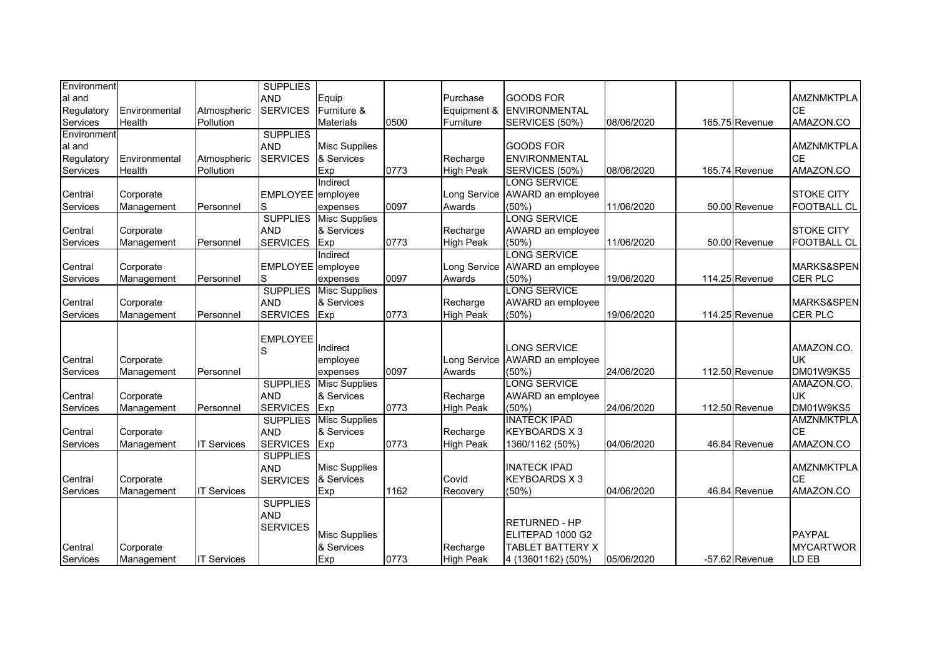| Environment     |               |                    | <b>SUPPLIES</b>   |                      |      |                  |                      |            |                |                    |
|-----------------|---------------|--------------------|-------------------|----------------------|------|------------------|----------------------|------------|----------------|--------------------|
| al and          |               |                    | <b>AND</b>        | Equip                |      | Purchase         | <b>GOODS FOR</b>     |            |                | <b>AMZNMKTPLA</b>  |
| Regulatory      | Environmental | Atmospheric        | <b>SERVICES</b>   | Furniture &          |      | Equipment &      | ENVIRONMENTAL        |            |                | <b>CE</b>          |
| Services        | Health        | Pollution          |                   | <b>Materials</b>     | 0500 | Furniture        | SERVICES (50%)       | 08/06/2020 | 165.75 Revenue | AMAZON.CO          |
| Environment     |               |                    | <b>SUPPLIES</b>   |                      |      |                  |                      |            |                |                    |
| al and          |               |                    | <b>AND</b>        | <b>Misc Supplies</b> |      |                  | <b>GOODS FOR</b>     |            |                | <b>AMZNMKTPLA</b>  |
| Regulatory      | Environmental | Atmospheric        | <b>SERVICES</b>   | & Services           |      | Recharge         | <b>ENVIRONMENTAL</b> |            |                | <b>CE</b>          |
| Services        | Health        | Pollution          |                   | Exp                  | 0773 | <b>High Peak</b> | SERVICES (50%)       | 08/06/2020 | 165.74 Revenue | AMAZON.CO          |
|                 |               |                    |                   | Indirect             |      |                  | <b>LONG SERVICE</b>  |            |                |                    |
| Central         | Corporate     |                    | EMPLOYEE employee |                      |      | Long Service     | AWARD an employee    |            |                | <b>STOKE CITY</b>  |
| Services        | Management    | Personnel          | S                 | expenses             | 0097 | Awards           | (50%)                | 11/06/2020 | 50.00 Revenue  | <b>FOOTBALL CL</b> |
|                 |               |                    | <b>SUPPLIES</b>   | <b>Misc Supplies</b> |      |                  | <b>LONG SERVICE</b>  |            |                |                    |
| Central         | Corporate     |                    | <b>AND</b>        | & Services           |      | Recharge         | AWARD an employee    |            |                | <b>STOKE CITY</b>  |
| <b>Services</b> | Management    | Personnel          | <b>SERVICES</b>   | Exp                  | 0773 | <b>High Peak</b> | (50%)                | 11/06/2020 | 50.00 Revenue  | <b>FOOTBALL CL</b> |
|                 |               |                    |                   | Indirect             |      |                  | <b>LONG SERVICE</b>  |            |                |                    |
| Central         | Corporate     |                    | EMPLOYEE employee |                      |      | Long Service     | AWARD an employee    |            |                | MARKS&SPEN         |
| Services        | Management    | Personnel          | S                 | expenses             | 0097 | Awards           | (50%)                | 19/06/2020 | 114.25 Revenue | <b>CER PLC</b>     |
|                 |               |                    | <b>SUPPLIES</b>   | <b>Misc Supplies</b> |      |                  | <b>LONG SERVICE</b>  |            |                |                    |
| Central         | Corporate     |                    | <b>AND</b>        | & Services           |      | Recharge         | AWARD an employee    |            |                | MARKS&SPEN         |
| Services        | Management    | Personnel          | <b>SERVICES</b>   | Exp                  | 0773 | <b>High Peak</b> | (50%                 | 19/06/2020 | 114.25 Revenue | <b>CER PLC</b>     |
|                 |               |                    |                   |                      |      |                  |                      |            |                |                    |
|                 |               |                    | <b>EMPLOYEE</b>   |                      |      |                  |                      |            |                |                    |
|                 |               |                    | S                 | Indirect             |      |                  | <b>LONG SERVICE</b>  |            |                | AMAZON.CO.         |
| Central         | Corporate     |                    |                   | employee             |      | Long Service     | AWARD an employee    |            |                | <b>UK</b>          |
| <b>Services</b> | Management    | Personnel          |                   | expenses             | 0097 | Awards           | (50%)                | 24/06/2020 | 112.50 Revenue | DM01W9KS5          |
|                 |               |                    | <b>SUPPLIES</b>   | <b>Misc Supplies</b> |      |                  | LONG SERVICE         |            |                | AMAZON.CO.         |
| Central         | Corporate     |                    | <b>AND</b>        | & Services           |      | Recharge         | AWARD an employee    |            |                | <b>UK</b>          |
| Services        | Management    | Personnel          | <b>SERVICES</b>   | Exp                  | 0773 | <b>High Peak</b> | (50%)                | 24/06/2020 | 112.50 Revenue | DM01W9KS5          |
|                 |               |                    | <b>SUPPLIES</b>   | <b>Misc Supplies</b> |      |                  | <b>INATECK IPAD</b>  |            |                | <b>AMZNMKTPLA</b>  |
| Central         | Corporate     |                    | <b>AND</b>        | & Services           |      | Recharge         | <b>KEYBOARDS X3</b>  |            |                | <b>CE</b>          |
| <b>Services</b> | Management    | <b>IT Services</b> | <b>SERVICES</b>   | Exp                  | 0773 | <b>High Peak</b> | 1360/1162 (50%)      | 04/06/2020 | 46.84 Revenue  | AMAZON.CO          |
|                 |               |                    | <b>SUPPLIES</b>   |                      |      |                  |                      |            |                |                    |
|                 |               |                    | <b>AND</b>        | <b>Misc Supplies</b> |      |                  | <b>INATECK IPAD</b>  |            |                | <b>AMZNMKTPLA</b>  |
| Central         | Corporate     |                    | <b>SERVICES</b>   | & Services           |      | Covid            | <b>KEYBOARDS X 3</b> |            |                | <b>CE</b>          |
| <b>Services</b> | Management    | <b>IT Services</b> |                   | Exp                  | 1162 | Recovery         | (50%)                | 04/06/2020 | 46.84 Revenue  | AMAZON.CO          |
|                 |               |                    | <b>SUPPLIES</b>   |                      |      |                  |                      |            |                |                    |
|                 |               |                    | <b>AND</b>        |                      |      |                  | <b>RETURNED - HP</b> |            |                |                    |
|                 |               |                    | <b>SERVICES</b>   | <b>Misc Supplies</b> |      |                  | ELITEPAD 1000 G2     |            |                | <b>PAYPAL</b>      |
| Central         | Corporate     |                    |                   | & Services           |      | Recharge         | TABLET BATTERY X     |            |                | <b>MYCARTWOR</b>   |
| Services        | Management    | <b>IT Services</b> |                   | Exp                  | 0773 | <b>High Peak</b> | 4 (13601162) (50%)   | 05/06/2020 | -57.62 Revenue | LD EB              |
|                 |               |                    |                   |                      |      |                  |                      |            |                |                    |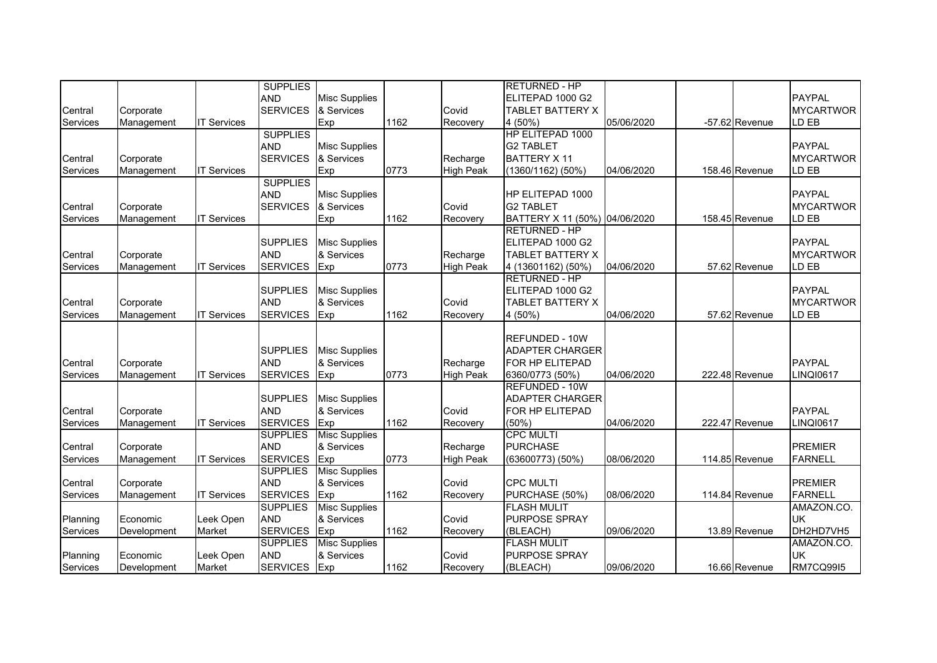|                 |             |                    | <b>SUPPLIES</b> |                      |      |                  | <b>RETURNED - HP</b>          |            |                |                  |
|-----------------|-------------|--------------------|-----------------|----------------------|------|------------------|-------------------------------|------------|----------------|------------------|
|                 |             |                    | <b>AND</b>      | <b>Misc Supplies</b> |      |                  | ELITEPAD 1000 G2              |            |                | PAYPAL           |
| Central         | Corporate   |                    | <b>SERVICES</b> | & Services           |      | Covid            | <b>TABLET BATTERY X</b>       |            |                | <b>MYCARTWOR</b> |
| Services        | Management  | <b>IT Services</b> |                 | Exp                  | 1162 | Recovery         | 4 (50%)                       | 05/06/2020 | -57.62 Revenue | LD EB            |
|                 |             |                    | <b>SUPPLIES</b> |                      |      |                  | HP ELITEPAD 1000              |            |                |                  |
|                 |             |                    | <b>AND</b>      | <b>Misc Supplies</b> |      |                  | <b>G2 TABLET</b>              |            |                | <b>PAYPAL</b>    |
| Central         | Corporate   |                    | <b>SERVICES</b> | & Services           |      | Recharge         | <b>BATTERY X 11</b>           |            |                | <b>MYCARTWOR</b> |
| Services        | Management  | <b>IT Services</b> |                 | Exp                  | 0773 | <b>High Peak</b> | $(1360/1162)$ (50%)           | 04/06/2020 | 158.46 Revenue | LD EB            |
|                 |             |                    | <b>SUPPLIES</b> |                      |      |                  |                               |            |                |                  |
|                 |             |                    | <b>AND</b>      | <b>Misc Supplies</b> |      |                  | HP ELITEPAD 1000              |            |                | <b>PAYPAL</b>    |
| Central         | Corporate   |                    | <b>SERVICES</b> | & Services           |      | Covid            | <b>G2 TABLET</b>              |            |                | <b>MYCARTWOR</b> |
| Services        | Management  | <b>IT Services</b> |                 | Exp                  | 1162 | Recovery         | BATTERY X 11 (50%) 04/06/2020 |            | 158.45 Revenue | LD EB            |
|                 |             |                    |                 |                      |      |                  | <b>RETURNED - HP</b>          |            |                |                  |
|                 |             |                    | <b>SUPPLIES</b> | <b>Misc Supplies</b> |      |                  | ELITEPAD 1000 G2              |            |                | <b>PAYPAL</b>    |
| Central         | Corporate   |                    | <b>AND</b>      | & Services           |      | Recharge         | <b>TABLET BATTERY X</b>       |            |                | <b>MYCARTWOR</b> |
| Services        | Management  | <b>IT Services</b> | <b>SERVICES</b> | Exp                  | 0773 | <b>High Peak</b> | 4 (13601162) (50%)            | 04/06/2020 | 57.62 Revenue  | LD EB            |
|                 |             |                    |                 |                      |      |                  | <b>RETURNED - HP</b>          |            |                |                  |
|                 |             |                    | <b>SUPPLIES</b> | <b>Misc Supplies</b> |      |                  | ELITEPAD 1000 G2              |            |                | <b>PAYPAL</b>    |
| Central         | Corporate   |                    | <b>AND</b>      | & Services           |      | Covid            | <b>TABLET BATTERY X</b>       |            |                | <b>MYCARTWOR</b> |
| Services        | Management  | <b>IT Services</b> | <b>SERVICES</b> | Exp                  | 1162 | Recovery         | 4 (50%)                       | 04/06/2020 | 57.62 Revenue  | LD EB            |
|                 |             |                    |                 |                      |      |                  |                               |            |                |                  |
|                 |             |                    |                 |                      |      |                  | <b>REFUNDED - 10W</b>         |            |                |                  |
|                 |             |                    | <b>SUPPLIES</b> | <b>Misc Supplies</b> |      |                  | <b>ADAPTER CHARGER</b>        |            |                |                  |
| Central         | Corporate   |                    | <b>AND</b>      | & Services           |      | Recharge         | FOR HP ELITEPAD               |            |                | PAYPAL           |
| <b>Services</b> | Management  | <b>IT Services</b> | <b>SERVICES</b> | Exp                  | 0773 | <b>High Peak</b> | 6360/0773 (50%)               | 04/06/2020 | 222.48 Revenue | <b>LINQI0617</b> |
|                 |             |                    |                 |                      |      |                  | <b>REFUNDED - 10W</b>         |            |                |                  |
|                 |             |                    | <b>SUPPLIES</b> | <b>Misc Supplies</b> |      |                  | <b>ADAPTER CHARGER</b>        |            |                |                  |
| Central         | Corporate   |                    | <b>AND</b>      | & Services           |      | Covid            | FOR HP ELITEPAD               |            |                | <b>PAYPAL</b>    |
| <b>Services</b> | Management  | <b>IT Services</b> | <b>SERVICES</b> | Exp                  | 1162 | Recovery         | $(50\%)$                      | 04/06/2020 | 222.47 Revenue | <b>LINQI0617</b> |
|                 |             |                    | <b>SUPPLIES</b> | <b>Misc Supplies</b> |      |                  | <b>CPC MULTI</b>              |            |                |                  |
| Central         | Corporate   |                    | <b>AND</b>      | & Services           |      | Recharge         | <b>PURCHASE</b>               |            |                | <b>PREMIER</b>   |
| Services        | Management  | <b>IT Services</b> | <b>SERVICES</b> | Exp                  | 0773 | <b>High Peak</b> | (63600773) (50%)              | 08/06/2020 | 114.85 Revenue | <b>FARNELL</b>   |
|                 |             |                    | <b>SUPPLIES</b> | <b>Misc Supplies</b> |      |                  |                               |            |                |                  |
| Central         | Corporate   |                    | <b>AND</b>      | & Services           |      | Covid            | <b>CPC MULTI</b>              |            |                | <b>PREMIER</b>   |
| <b>Services</b> | Management  | <b>IT Services</b> | <b>SERVICES</b> | Exp                  | 1162 | Recovery         | PURCHASE (50%)                | 08/06/2020 | 114.84 Revenue | <b>FARNELL</b>   |
|                 |             |                    | <b>SUPPLIES</b> | <b>Misc Supplies</b> |      |                  | <b>FLASH MULIT</b>            |            |                | AMAZON.CO.       |
| Planning        | Economic    | Leek Open          | <b>AND</b>      | & Services           |      | Covid            | PURPOSE SPRAY                 |            |                | UK               |
| Services        | Development | Market             | <b>SERVICES</b> | Exp                  | 1162 | Recovery         | (BLEACH)                      | 09/06/2020 | 13.89 Revenue  | DH2HD7VH5        |
|                 |             |                    | <b>SUPPLIES</b> | <b>Misc Supplies</b> |      |                  | <b>FLASH MULIT</b>            |            |                | AMAZON.CO.       |
| Planning        | Economic    | Leek Open          | <b>AND</b>      | & Services           |      | Covid            | PURPOSE SPRAY                 |            |                | <b>UK</b>        |
| Services        | Development | Market             | <b>SERVICES</b> | Exp                  | 1162 | Recovery         | (BLEACH)                      | 09/06/2020 | 16.66 Revenue  | <b>RM7CQ99I5</b> |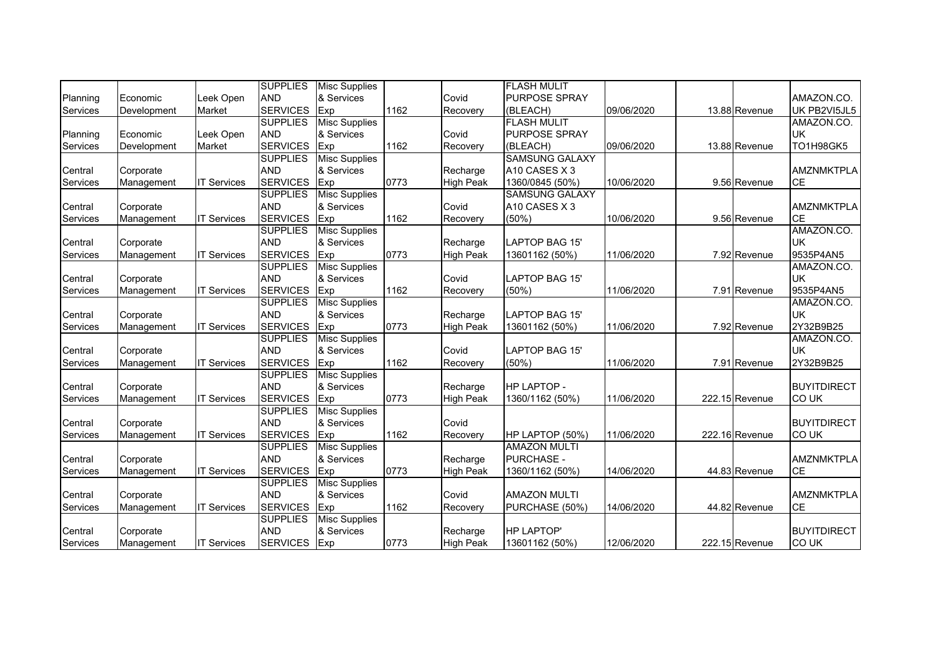|                 |             |                    | <b>SUPPLIES</b> | <b>Misc Supplies</b> |      |                  | <b>FLASH MULIT</b>    |            |                |                    |
|-----------------|-------------|--------------------|-----------------|----------------------|------|------------------|-----------------------|------------|----------------|--------------------|
| Planning        | Economic    | Leek Open          | <b>AND</b>      | & Services           |      | Covid            | <b>PURPOSE SPRAY</b>  |            |                | AMAZON.CO.         |
| Services        | Development | Market             | <b>SERVICES</b> | Exp                  | 1162 | Recovery         | (BLEACH)              | 09/06/2020 | 13.88 Revenue  | UK PB2VI5JL5       |
|                 |             |                    | <b>SUPPLIES</b> | <b>Misc Supplies</b> |      |                  | <b>FLASH MULIT</b>    |            |                | AMAZON.CO.         |
| Planning        | Economic    | Leek Open          | <b>AND</b>      | & Services           |      | Covid            | <b>PURPOSE SPRAY</b>  |            |                | <b>UK</b>          |
| Services        | Development | Market             | <b>SERVICES</b> | Exp                  | 1162 | Recovery         | (BLEACH)              | 09/06/2020 | 13.88 Revenue  | TO1H98GK5          |
|                 |             |                    | <b>SUPPLIES</b> | <b>Misc Supplies</b> |      |                  | <b>SAMSUNG GALAXY</b> |            |                |                    |
| Central         | Corporate   |                    | <b>AND</b>      | & Services           |      | Recharge         | A10 CASES X 3         |            |                | AMZNMKTPLA         |
| <b>Services</b> | Management  | <b>IT Services</b> | <b>SERVICES</b> | Exp                  | 0773 | <b>High Peak</b> | 1360/0845 (50%)       | 10/06/2020 | 9.56 Revenue   | <b>CE</b>          |
|                 |             |                    | <b>SUPPLIES</b> | <b>Misc Supplies</b> |      |                  | <b>SAMSUNG GALAXY</b> |            |                |                    |
| Central         | Corporate   |                    | <b>AND</b>      | & Services           |      | Covid            | A10 CASES X 3         |            |                | <b>AMZNMKTPLA</b>  |
| Services        | Management  | <b>IT Services</b> | <b>SERVICES</b> | Exp                  | 1162 | Recovery         | (50%)                 | 10/06/2020 | 9.56 Revenue   | <b>CE</b>          |
|                 |             |                    | <b>SUPPLIES</b> | <b>Misc Supplies</b> |      |                  |                       |            |                | AMAZON.CO.         |
| Central         | Corporate   |                    | <b>AND</b>      | & Services           |      | Recharge         | LAPTOP BAG 15'        |            |                | <b>UK</b>          |
| Services        | Management  | <b>IT Services</b> | <b>SERVICES</b> | Exp                  | 0773 | <b>High Peak</b> | 13601162 (50%)        | 11/06/2020 | 7.92 Revenue   | 9535P4AN5          |
|                 |             |                    | <b>SUPPLIES</b> | <b>Misc Supplies</b> |      |                  |                       |            |                | AMAZON.CO.         |
| Central         | Corporate   |                    | <b>AND</b>      | & Services           |      | Covid            | LAPTOP BAG 15'        |            |                | <b>UK</b>          |
| Services        | Management  | <b>IT Services</b> | <b>SERVICES</b> | Exp                  | 1162 | Recovery         | (50%)                 | 11/06/2020 | 7.91 Revenue   | 9535P4AN5          |
|                 |             |                    | <b>SUPPLIES</b> | <b>Misc Supplies</b> |      |                  |                       |            |                | AMAZON.CO.         |
| Central         | Corporate   |                    | <b>AND</b>      | & Services           |      | Recharge         | <b>LAPTOP BAG 15'</b> |            |                | <b>UK</b>          |
| Services        | Management  | <b>IT Services</b> | <b>SERVICES</b> | Exp                  | 0773 | <b>High Peak</b> | 13601162 (50%)        | 11/06/2020 | 7.92 Revenue   | 2Y32B9B25          |
|                 |             |                    | <b>SUPPLIES</b> | <b>Misc Supplies</b> |      |                  |                       |            |                | AMAZON.CO.         |
| Central         | Corporate   |                    | <b>AND</b>      | & Services           |      | Covid            | <b>LAPTOP BAG 15'</b> |            |                | <b>UK</b>          |
| Services        | Management  | <b>IT Services</b> | <b>SERVICES</b> | Exp                  | 1162 | Recovery         | (50%)                 | 11/06/2020 | 7.91 Revenue   | 2Y32B9B25          |
|                 |             |                    | <b>SUPPLIES</b> | <b>Misc Supplies</b> |      |                  |                       |            |                |                    |
| Central         | Corporate   |                    | <b>AND</b>      | & Services           |      | Recharge         | <b>HP LAPTOP -</b>    |            |                | <b>BUYITDIRECT</b> |
| Services        | Management  | <b>IT Services</b> | <b>SERVICES</b> | Exp                  | 0773 | <b>High Peak</b> | 1360/1162 (50%)       | 11/06/2020 | 222.15 Revenue | <b>COUK</b>        |
|                 |             |                    | <b>SUPPLIES</b> | <b>Misc Supplies</b> |      |                  |                       |            |                |                    |
| Central         | Corporate   |                    | <b>AND</b>      | & Services           |      | Covid            |                       |            |                | <b>BUYITDIRECT</b> |
| Services        | Management  | <b>IT Services</b> | <b>SERVICES</b> | Exp                  | 1162 | Recovery         | HP LAPTOP (50%)       | 11/06/2020 | 222.16 Revenue | <b>COUK</b>        |
|                 |             |                    | <b>SUPPLIES</b> | <b>Misc Supplies</b> |      |                  | <b>AMAZON MULTI</b>   |            |                |                    |
| Central         | Corporate   |                    | <b>AND</b>      | & Services           |      | Recharge         | <b>PURCHASE -</b>     |            |                | <b>AMZNMKTPLA</b>  |
| Services        | Management  | <b>IT Services</b> | <b>SERVICES</b> | Exp                  | 0773 | <b>High Peak</b> | 1360/1162 (50%)       | 14/06/2020 | 44.83 Revenue  | <b>CE</b>          |
|                 |             |                    | <b>SUPPLIES</b> | <b>Misc Supplies</b> |      |                  |                       |            |                |                    |
| Central         | Corporate   |                    | <b>AND</b>      | & Services           |      | Covid            | <b>AMAZON MULTI</b>   |            |                | <b>AMZNMKTPLA</b>  |
| Services        | Management  | <b>IT Services</b> | <b>SERVICES</b> | Exp                  | 1162 | Recovery         | PURCHASE (50%)        | 14/06/2020 | 44.82 Revenue  | <b>CE</b>          |
|                 |             |                    | <b>SUPPLIES</b> | <b>Misc Supplies</b> |      |                  |                       |            |                |                    |
| Central         | Corporate   |                    | <b>AND</b>      | & Services           |      | Recharge         | <b>HP LAPTOP'</b>     |            |                | <b>BUYITDIRECT</b> |
| Services        | Management  | <b>IT Services</b> | <b>SERVICES</b> | Exp                  | 0773 | <b>High Peak</b> | 13601162 (50%)        | 12/06/2020 | 222.15 Revenue | <b>COUK</b>        |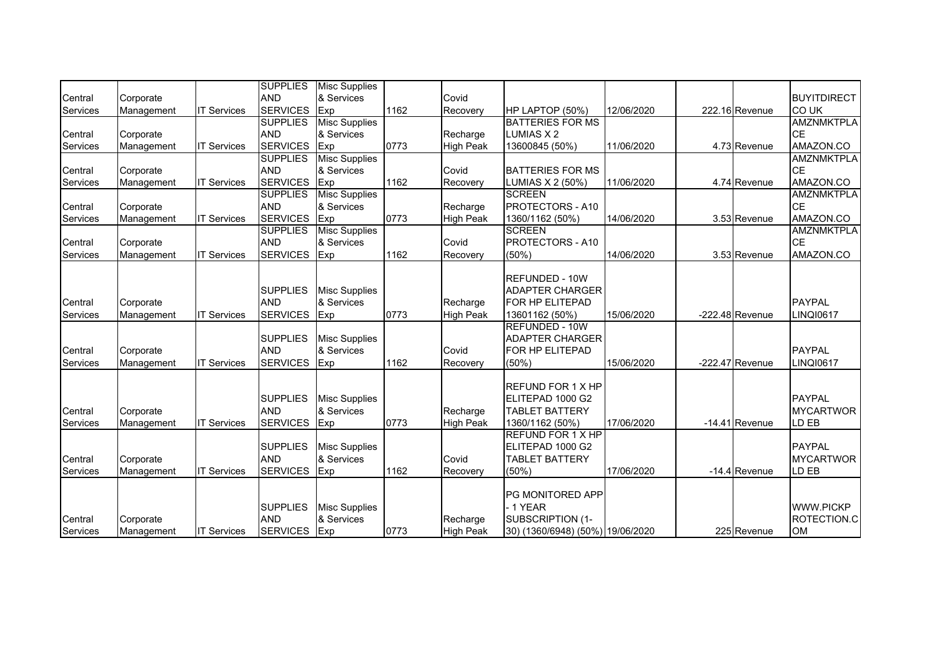|                            |                         |                    | <b>SUPPLIES</b>                                  | <b>Misc Supplies</b>                             |      |                              |                                                                                          |            |                   |                                              |
|----------------------------|-------------------------|--------------------|--------------------------------------------------|--------------------------------------------------|------|------------------------------|------------------------------------------------------------------------------------------|------------|-------------------|----------------------------------------------|
| Central                    | Corporate               |                    | <b>AND</b>                                       | & Services                                       |      | Covid                        |                                                                                          |            |                   | <b>BUYITDIRECT</b>                           |
| Services                   | Management              | <b>IT Services</b> | <b>SERVICES</b>                                  | Exp                                              | 1162 | Recovery                     | HP LAPTOP (50%)                                                                          | 12/06/2020 | 222.16 Revenue    | CO UK                                        |
|                            |                         |                    | <b>SUPPLIES</b>                                  | <b>Misc Supplies</b>                             |      |                              | <b>BATTERIES FOR MS</b>                                                                  |            |                   | <b>AMZNMKTPLA</b>                            |
| Central                    | Corporate               |                    | <b>AND</b>                                       | & Services                                       |      | Recharge                     | LUMIAS X 2                                                                               |            |                   | <b>CE</b>                                    |
| Services                   | Management              | <b>IT Services</b> | <b>SERVICES</b>                                  | Exp                                              | 0773 | <b>High Peak</b>             | 13600845 (50%)                                                                           | 11/06/2020 | 4.73 Revenue      | AMAZON.CO                                    |
|                            |                         |                    | <b>SUPPLIES</b>                                  | <b>Misc Supplies</b>                             |      |                              |                                                                                          |            |                   | <b>AMZNMKTPLA</b>                            |
| Central                    | Corporate               |                    | <b>AND</b>                                       | & Services                                       |      | Covid                        | <b>BATTERIES FOR MS</b>                                                                  |            |                   | <b>CE</b>                                    |
| Services                   | Management              | <b>IT Services</b> | <b>SERVICES</b>                                  | Exp                                              | 1162 | Recovery                     | LUMIAS X 2 (50%)                                                                         | 11/06/2020 | 4.74 Revenue      | AMAZON.CO                                    |
|                            |                         |                    | <b>SUPPLIES</b>                                  | <b>Misc Supplies</b>                             |      |                              | <b>SCREEN</b>                                                                            |            |                   | <b>AMZNMKTPLA</b>                            |
| Central                    | Corporate               |                    | <b>AND</b>                                       | & Services                                       |      | Recharge                     | <b>PROTECTORS - A10</b>                                                                  |            |                   | <b>CE</b>                                    |
| Services                   | Management              | <b>IT Services</b> | <b>SERVICES</b>                                  | Exp                                              | 0773 | <b>High Peak</b>             | 1360/1162 (50%)                                                                          | 14/06/2020 | 3.53 Revenue      | AMAZON.CO                                    |
|                            |                         |                    | <b>SUPPLIES</b>                                  | <b>Misc Supplies</b>                             |      |                              | <b>SCREEN</b>                                                                            |            |                   | <b>AMZNMKTPLA</b>                            |
| Central                    | Corporate               |                    | <b>AND</b>                                       | & Services                                       |      | Covid                        | <b>PROTECTORS - A10</b>                                                                  |            |                   | <b>CE</b>                                    |
| Services                   | Management              | <b>IT Services</b> | <b>SERVICES</b>                                  | Exp                                              | 1162 | Recovery                     | (50%                                                                                     | 14/06/2020 | 3.53 Revenue      | AMAZON.CO                                    |
| Central<br><b>Services</b> | Corporate<br>Management | <b>IT Services</b> | <b>SUPPLIES</b><br><b>AND</b><br><b>SERVICES</b> | <b>Misc Supplies</b><br>& Services<br>Exp        | 0773 | Recharge<br><b>High Peak</b> | <b>REFUNDED - 10W</b><br><b>ADAPTER CHARGER</b><br>FOR HP ELITEPAD<br>13601162 (50%)     | 15/06/2020 | -222.48 Revenue   | <b>PAYPAL</b><br><b>LINQI0617</b>            |
| Central<br>Services        | Corporate<br>Management | <b>IT Services</b> | <b>SUPPLIES</b><br><b>AND</b><br><b>SERVICES</b> | <b>Misc Supplies</b><br>& Services<br>Exp        | 1162 | Covid<br>Recovery            | <b>REFUNDED - 10W</b><br><b>ADAPTER CHARGER</b><br>FOR HP ELITEPAD<br>(50%)              | 15/06/2020 | $-222.47$ Revenue | <b>PAYPAL</b><br><b>LINQI0617</b>            |
| Central<br><b>Services</b> | Corporate<br>Management | <b>IT Services</b> | <b>SUPPLIES</b><br><b>AND</b><br><b>SERVICES</b> | <b>Misc Supplies</b><br>& Services<br>Exp        | 0773 | Recharge<br><b>High Peak</b> | <b>REFUND FOR 1 X HP</b><br>ELITEPAD 1000 G2<br><b>TABLET BATTERY</b><br>1360/1162 (50%) | 17/06/2020 | $-14.41$ Revenue  | <b>PAYPAL</b><br><b>MYCARTWOR</b><br>LD EB   |
| Central<br>Services        | Corporate<br>Management | <b>IT Services</b> | <b>SUPPLIES</b><br><b>AND</b><br><b>SERVICES</b> | <b>Misc Supplies</b><br>& Services<br><b>Exp</b> | 1162 | Covid<br>Recovery            | REFUND FOR 1 X HP<br>ELITEPAD 1000 G2<br><b>TABLET BATTERY</b><br>(50%                   | 17/06/2020 | -14.4 Revenue     | <b>PAYPAL</b><br><b>MYCARTWOR</b><br>LD EB   |
| Central<br><b>Services</b> | Corporate<br>Management | <b>IT Services</b> | <b>SUPPLIES</b><br><b>AND</b><br>SERVICES Exp    | <b>Misc Supplies</b><br>& Services               | 0773 | Recharge<br><b>High Peak</b> | PG MONITORED APP<br>- 1 YEAR<br>SUBSCRIPTION (1-<br>30) (1360/6948) (50%) 19/06/2020     |            | 225 Revenue       | <b>WWW.PICKP</b><br>ROTECTION.C<br><b>OM</b> |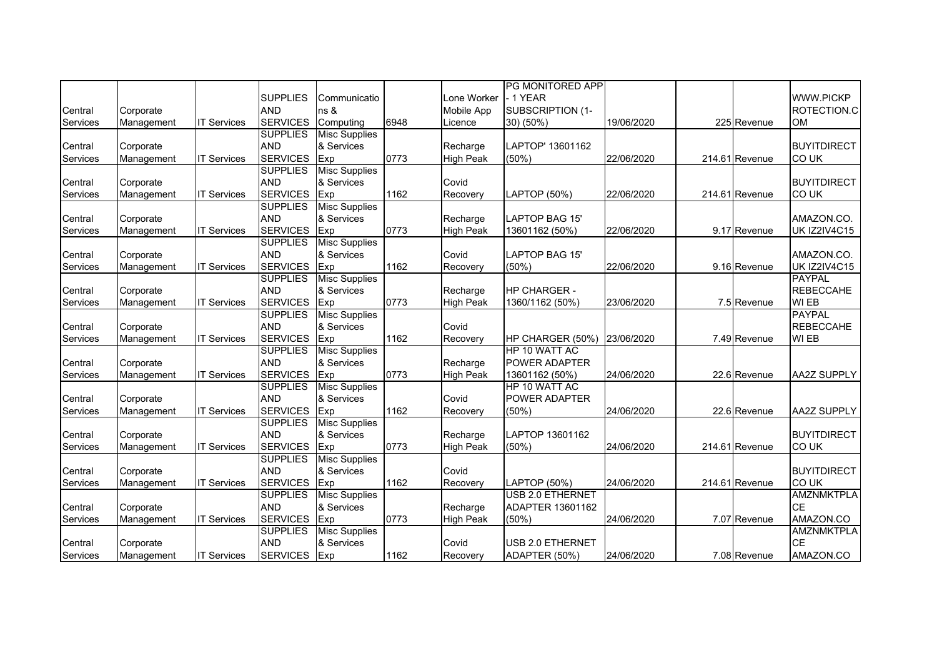|          |            |                    |                 |                      |      |                  | PG MONITORED APP      |            |                |                     |
|----------|------------|--------------------|-----------------|----------------------|------|------------------|-----------------------|------------|----------------|---------------------|
|          |            |                    | <b>SUPPLIES</b> | Communicatio         |      | Lone Worker      | - 1 YEAR              |            |                | <b>WWW.PICKP</b>    |
| Central  | Corporate  |                    | <b>AND</b>      | ns &                 |      | Mobile App       | SUBSCRIPTION (1-      |            |                | ROTECTION.C         |
| Services | Management | <b>IT Services</b> | <b>SERVICES</b> | Computing            | 6948 | Licence          | 30) (50%)             | 19/06/2020 | 225 Revenue    | <b>OM</b>           |
|          |            |                    | <b>SUPPLIES</b> | <b>Misc Supplies</b> |      |                  |                       |            |                |                     |
| Central  | Corporate  |                    | <b>AND</b>      | & Services           |      | Recharge         | LAPTOP' 13601162      |            |                | <b>BUYITDIRECT</b>  |
| Services | Management | <b>IT Services</b> | <b>SERVICES</b> | Exp                  | 0773 | <b>High Peak</b> | $(50\%)$              | 22/06/2020 | 214.61 Revenue | <b>COUK</b>         |
|          |            |                    | <b>SUPPLIES</b> | <b>Misc Supplies</b> |      |                  |                       |            |                |                     |
| Central  | Corporate  |                    | <b>AND</b>      | & Services           |      | Covid            |                       |            |                | <b>BUYITDIRECT</b>  |
| Services | Management | <b>IT Services</b> | <b>SERVICES</b> | Exp                  | 1162 | Recovery         | LAPTOP (50%)          | 22/06/2020 | 214.61 Revenue | <b>COUK</b>         |
|          |            |                    | <b>SUPPLIES</b> | <b>Misc Supplies</b> |      |                  |                       |            |                |                     |
| Central  | Corporate  |                    | <b>AND</b>      | & Services           |      | Recharge         | LAPTOP BAG 15'        |            |                | AMAZON.CO.          |
| Services | Management | <b>IT Services</b> | <b>SERVICES</b> | Exp                  | 0773 | <b>High Peak</b> | 13601162 (50%)        | 22/06/2020 | 9.17 Revenue   | <b>UK IZ2IV4C15</b> |
|          |            |                    | <b>SUPPLIES</b> | <b>Misc Supplies</b> |      |                  |                       |            |                |                     |
| Central  | Corporate  |                    | <b>AND</b>      | & Services           |      | Covid            | <b>LAPTOP BAG 15'</b> |            |                | AMAZON.CO.          |
| Services | Management | <b>IT Services</b> | <b>SERVICES</b> | Exp                  | 1162 | Recovery         | $(50\%)$              | 22/06/2020 | 9.16 Revenue   | <b>UK IZ2IV4C15</b> |
|          |            |                    | <b>SUPPLIES</b> | <b>Misc Supplies</b> |      |                  |                       |            |                | <b>PAYPAL</b>       |
| Central  | Corporate  |                    | <b>AND</b>      | & Services           |      | Recharge         | HP CHARGER -          |            |                | <b>REBECCAHE</b>    |
| Services | Management | <b>IT Services</b> | <b>SERVICES</b> | Exp                  | 0773 | <b>High Peak</b> | 1360/1162 (50%)       | 23/06/2020 | 7.5 Revenue    | WI EB               |
|          |            |                    | <b>SUPPLIES</b> | <b>Misc Supplies</b> |      |                  |                       |            |                | <b>PAYPAL</b>       |
| Central  | Corporate  |                    | <b>AND</b>      | & Services           |      | Covid            |                       |            |                | <b>REBECCAHE</b>    |
| Services | Management | <b>IT Services</b> | <b>SERVICES</b> | Exp                  | 1162 | Recovery         | HP CHARGER (50%)      | 23/06/2020 | 7.49 Revenue   | WI EB               |
|          |            |                    | <b>SUPPLIES</b> | <b>Misc Supplies</b> |      |                  | HP 10 WATT AC         |            |                |                     |
| Central  | Corporate  |                    | <b>AND</b>      | & Services           |      | Recharge         | POWER ADAPTER         |            |                |                     |
| Services | Management | <b>IT Services</b> | <b>SERVICES</b> | Exp                  | 0773 | <b>High Peak</b> | 13601162 (50%)        | 24/06/2020 | 22.6 Revenue   | <b>AA2Z SUPPLY</b>  |
|          |            |                    | <b>SUPPLIES</b> | <b>Misc Supplies</b> |      |                  | HP 10 WATT AC         |            |                |                     |
| Central  | Corporate  |                    | <b>AND</b>      | & Services           |      | Covid            | POWER ADAPTER         |            |                |                     |
| Services | Management | <b>IT Services</b> | <b>SERVICES</b> | Exp                  | 1162 | Recovery         | $(50\%)$              | 24/06/2020 | 22.6 Revenue   | <b>AA2Z SUPPLY</b>  |
|          |            |                    | <b>SUPPLIES</b> | <b>Misc Supplies</b> |      |                  |                       |            |                |                     |
| Central  | Corporate  |                    | <b>AND</b>      | & Services           |      | Recharge         | LAPTOP 13601162       |            |                | <b>BUYITDIRECT</b>  |
| Services | Management | <b>IT Services</b> | <b>SERVICES</b> | Exp                  | 0773 | <b>High Peak</b> | (50%)                 | 24/06/2020 | 214.61 Revenue | CO UK               |
|          |            |                    | <b>SUPPLIES</b> | <b>Misc Supplies</b> |      |                  |                       |            |                |                     |
| Central  | Corporate  |                    | <b>AND</b>      | & Services           |      | Covid            |                       |            |                | <b>BUYITDIRECT</b>  |
| Services | Management | <b>IT Services</b> | <b>SERVICES</b> | Exp                  | 1162 | Recovery         | <b>LAPTOP (50%)</b>   | 24/06/2020 | 214.61 Revenue | <b>COUK</b>         |
|          |            |                    | <b>SUPPLIES</b> | <b>Misc Supplies</b> |      |                  | USB 2.0 ETHERNET      |            |                | <b>AMZNMKTPLA</b>   |
| Central  | Corporate  |                    | <b>AND</b>      | & Services           |      | Recharge         | ADAPTER 13601162      |            |                | <b>CE</b>           |
| Services | Management | <b>IT Services</b> | <b>SERVICES</b> | Exp                  | 0773 | <b>High Peak</b> | $(50\%)$              | 24/06/2020 | 7.07 Revenue   | AMAZON.CO           |
|          |            |                    | <b>SUPPLIES</b> | <b>Misc Supplies</b> |      |                  |                       |            |                | <b>AMZNMKTPLA</b>   |
| Central  | Corporate  |                    | <b>AND</b>      | & Services           |      | Covid            | USB 2.0 ETHERNET      |            |                | <b>CE</b>           |
| Services | Management | <b>IT Services</b> | <b>SERVICES</b> | Exp                  | 1162 | Recovery         | ADAPTER (50%)         | 24/06/2020 | 7.08 Revenue   | AMAZON.CO           |